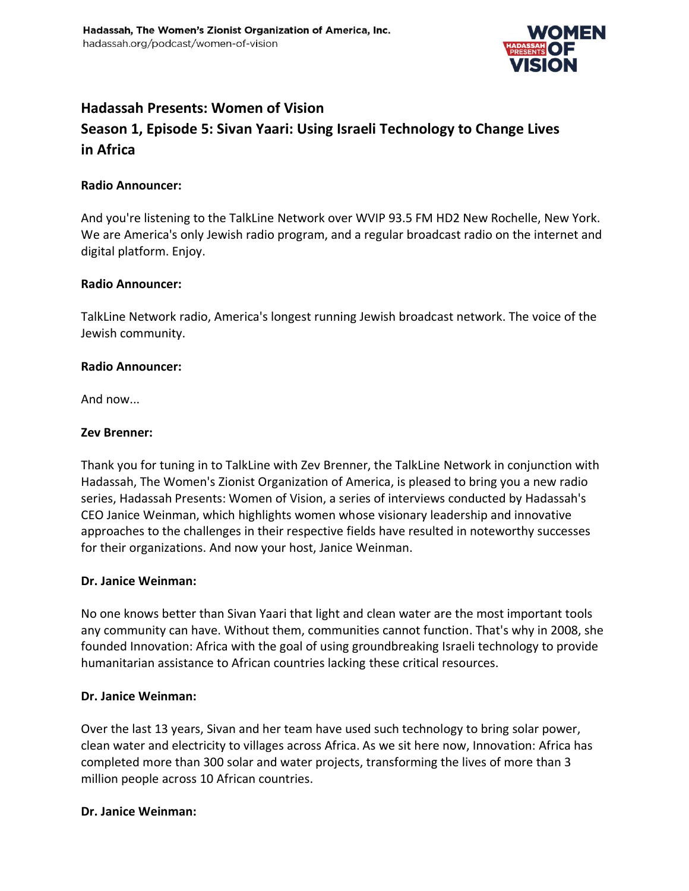

# **Hadassah Presents: Women of Vision**

# **Season 1, Episode 5: Sivan Yaari: Using Israeli Technology to Change Lives in Africa**

### **Radio Announcer:**

And you're listening to the TalkLine Network over WVIP 93.5 FM HD2 New Rochelle, New York. We are America's only Jewish radio program, and a regular broadcast radio on the internet and digital platform. Enjoy.

### **Radio Announcer:**

TalkLine Network radio, America's longest running Jewish broadcast network. The voice of the Jewish community.

### **Radio Announcer:**

And now...

### **Zev Brenner:**

Thank you for tuning in to TalkLine with Zev Brenner, the TalkLine Network in conjunction with Hadassah, The Women's Zionist Organization of America, is pleased to bring you a new radio series, Hadassah Presents: Women of Vision, a series of interviews conducted by Hadassah's CEO Janice Weinman, which highlights women whose visionary leadership and innovative approaches to the challenges in their respective fields have resulted in noteworthy successes for their organizations. And now your host, Janice Weinman.

### **Dr. Janice Weinman:**

No one knows better than Sivan Yaari that light and clean water are the most important tools any community can have. Without them, communities cannot function. That's why in 2008, she founded Innovation: Africa with the goal of using groundbreaking Israeli technology to provide humanitarian assistance to African countries lacking these critical resources.

#### **Dr. Janice Weinman:**

Over the last 13 years, Sivan and her team have used such technology to bring solar power, clean water and electricity to villages across Africa. As we sit here now, Innovation: Africa has completed more than 300 solar and water projects, transforming the lives of more than 3 million people across 10 African countries.

#### **Dr. Janice Weinman:**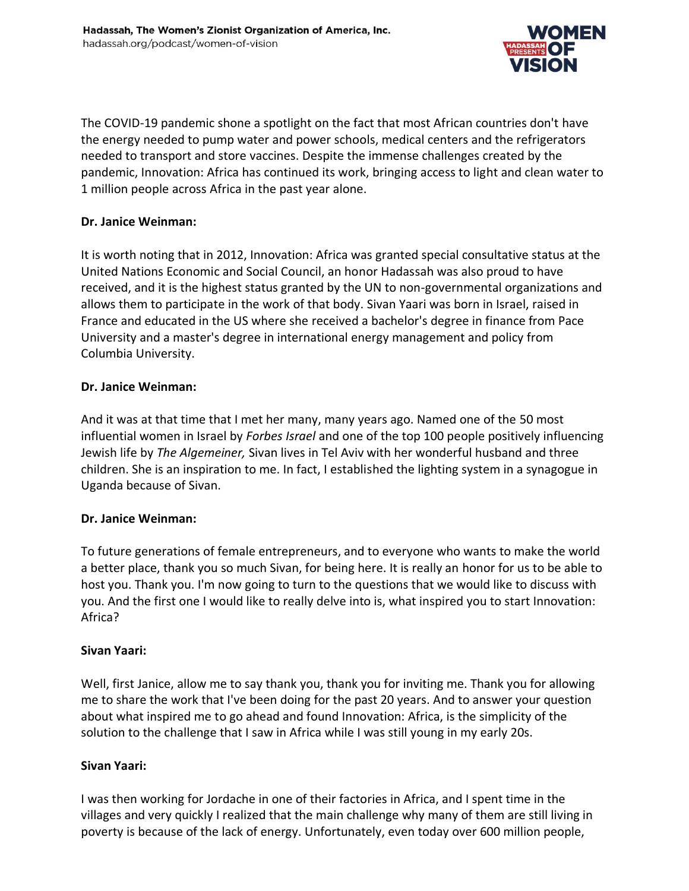

The COVID-19 pandemic shone a spotlight on the fact that most African countries don't have the energy needed to pump water and power schools, medical centers and the refrigerators needed to transport and store vaccines. Despite the immense challenges created by the pandemic, Innovation: Africa has continued its work, bringing access to light and clean water to 1 million people across Africa in the past year alone.

# **Dr. Janice Weinman:**

It is worth noting that in 2012, Innovation: Africa was granted special consultative status at the United Nations Economic and Social Council, an honor Hadassah was also proud to have received, and it is the highest status granted by the UN to non-governmental organizations and allows them to participate in the work of that body. Sivan Yaari was born in Israel, raised in France and educated in the US where she received a bachelor's degree in finance from Pace University and a master's degree in international energy management and policy from Columbia University.

### **Dr. Janice Weinman:**

And it was at that time that I met her many, many years ago. Named one of the 50 most influential women in Israel by *Forbes Israel* and one of the top 100 people positively influencing Jewish life by *The Algemeiner,* Sivan lives in Tel Aviv with her wonderful husband and three children. She is an inspiration to me. In fact, I established the lighting system in a synagogue in Uganda because of Sivan.

# **Dr. Janice Weinman:**

To future generations of female entrepreneurs, and to everyone who wants to make the world a better place, thank you so much Sivan, for being here. It is really an honor for us to be able to host you. Thank you. I'm now going to turn to the questions that we would like to discuss with you. And the first one I would like to really delve into is, what inspired you to start Innovation: Africa?

### **Sivan Yaari:**

Well, first Janice, allow me to say thank you, thank you for inviting me. Thank you for allowing me to share the work that I've been doing for the past 20 years. And to answer your question about what inspired me to go ahead and found Innovation: Africa, is the simplicity of the solution to the challenge that I saw in Africa while I was still young in my early 20s.

### **Sivan Yaari:**

I was then working for Jordache in one of their factories in Africa, and I spent time in the villages and very quickly I realized that the main challenge why many of them are still living in poverty is because of the lack of energy. Unfortunately, even today over 600 million people,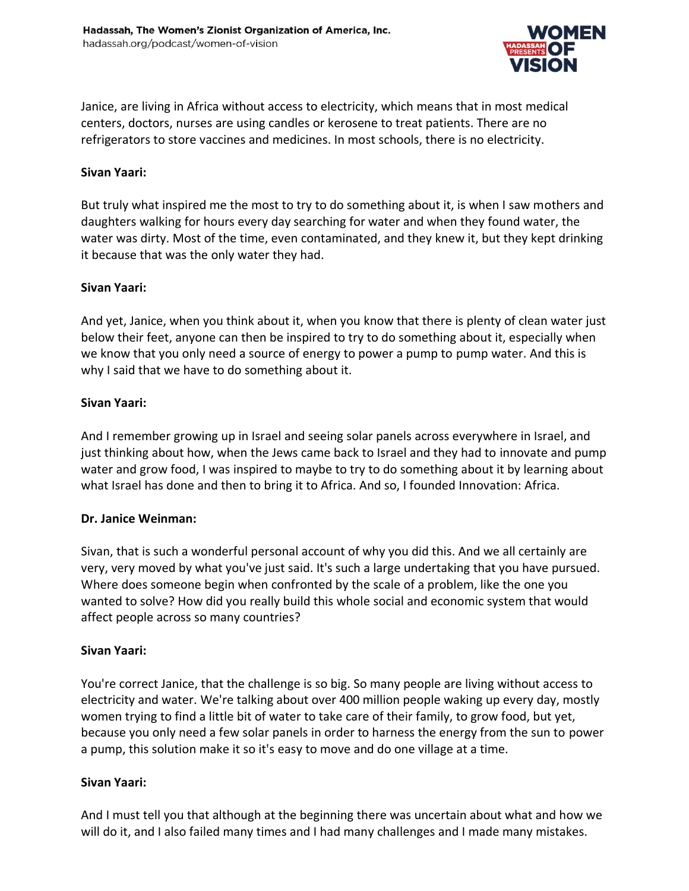

Janice, are living in Africa without access to electricity, which means that in most medical centers, doctors, nurses are using candles or kerosene to treat patients. There are no refrigerators to store vaccines and medicines. In most schools, there is no electricity.

### **Sivan Yaari:**

But truly what inspired me the most to try to do something about it, is when I saw mothers and daughters walking for hours every day searching for water and when they found water, the water was dirty. Most of the time, even contaminated, and they knew it, but they kept drinking it because that was the only water they had.

#### **Sivan Yaari:**

And yet, Janice, when you think about it, when you know that there is plenty of clean water just below their feet, anyone can then be inspired to try to do something about it, especially when we know that you only need a source of energy to power a pump to pump water. And this is why I said that we have to do something about it.

#### **Sivan Yaari:**

And I remember growing up in Israel and seeing solar panels across everywhere in Israel, and just thinking about how, when the Jews came back to Israel and they had to innovate and pump water and grow food, I was inspired to maybe to try to do something about it by learning about what Israel has done and then to bring it to Africa. And so, I founded Innovation: Africa.

### **Dr. Janice Weinman:**

Sivan, that is such a wonderful personal account of why you did this. And we all certainly are very, very moved by what you've just said. It's such a large undertaking that you have pursued. Where does someone begin when confronted by the scale of a problem, like the one you wanted to solve? How did you really build this whole social and economic system that would affect people across so many countries?

### **Sivan Yaari:**

You're correct Janice, that the challenge is so big. So many people are living without access to electricity and water. We're talking about over 400 million people waking up every day, mostly women trying to find a little bit of water to take care of their family, to grow food, but yet, because you only need a few solar panels in order to harness the energy from the sun to power a pump, this solution make it so it's easy to move and do one village at a time.

### **Sivan Yaari:**

And I must tell you that although at the beginning there was uncertain about what and how we will do it, and I also failed many times and I had many challenges and I made many mistakes.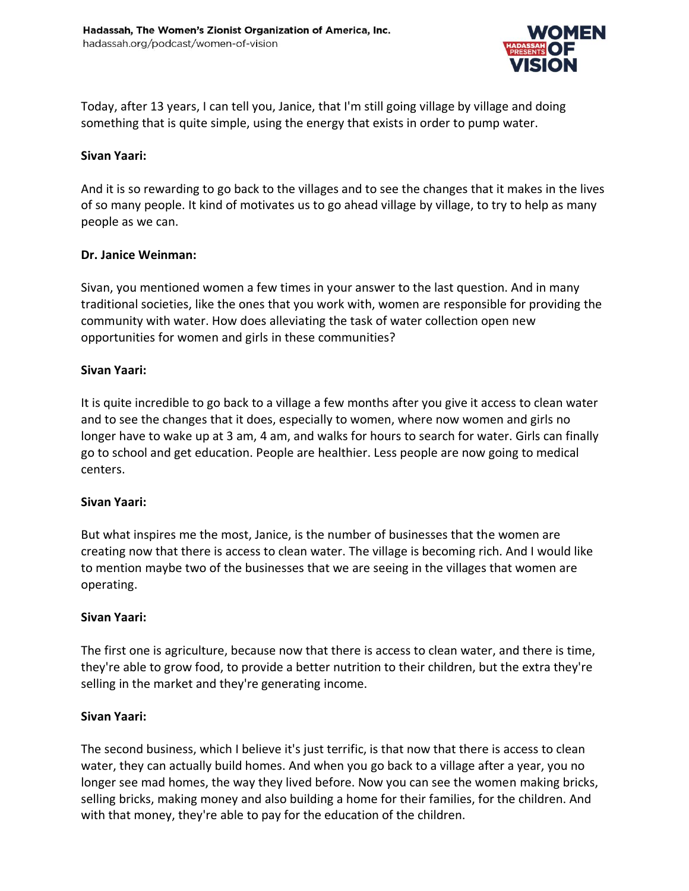

Today, after 13 years, I can tell you, Janice, that I'm still going village by village and doing something that is quite simple, using the energy that exists in order to pump water.

### **Sivan Yaari:**

And it is so rewarding to go back to the villages and to see the changes that it makes in the lives of so many people. It kind of motivates us to go ahead village by village, to try to help as many people as we can.

### **Dr. Janice Weinman:**

Sivan, you mentioned women a few times in your answer to the last question. And in many traditional societies, like the ones that you work with, women are responsible for providing the community with water. How does alleviating the task of water collection open new opportunities for women and girls in these communities?

### **Sivan Yaari:**

It is quite incredible to go back to a village a few months after you give it access to clean water and to see the changes that it does, especially to women, where now women and girls no longer have to wake up at 3 am, 4 am, and walks for hours to search for water. Girls can finally go to school and get education. People are healthier. Less people are now going to medical centers.

### **Sivan Yaari:**

But what inspires me the most, Janice, is the number of businesses that the women are creating now that there is access to clean water. The village is becoming rich. And I would like to mention maybe two of the businesses that we are seeing in the villages that women are operating.

### **Sivan Yaari:**

The first one is agriculture, because now that there is access to clean water, and there is time, they're able to grow food, to provide a better nutrition to their children, but the extra they're selling in the market and they're generating income.

# **Sivan Yaari:**

The second business, which I believe it's just terrific, is that now that there is access to clean water, they can actually build homes. And when you go back to a village after a year, you no longer see mad homes, the way they lived before. Now you can see the women making bricks, selling bricks, making money and also building a home for their families, for the children. And with that money, they're able to pay for the education of the children.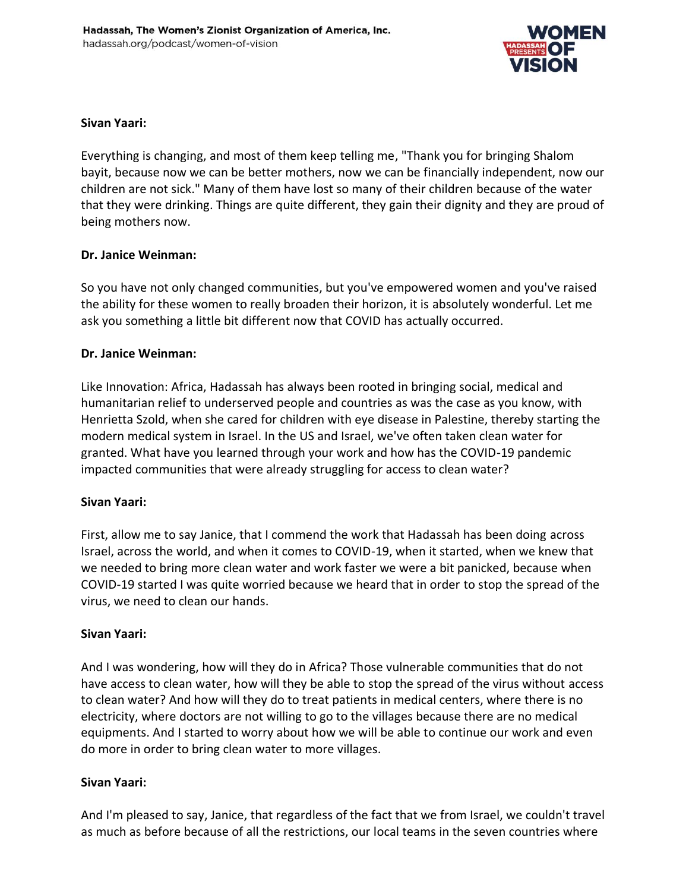

# **Sivan Yaari:**

Everything is changing, and most of them keep telling me, "Thank you for bringing Shalom bayit, because now we can be better mothers, now we can be financially independent, now our children are not sick." Many of them have lost so many of their children because of the water that they were drinking. Things are quite different, they gain their dignity and they are proud of being mothers now.

### **Dr. Janice Weinman:**

So you have not only changed communities, but you've empowered women and you've raised the ability for these women to really broaden their horizon, it is absolutely wonderful. Let me ask you something a little bit different now that COVID has actually occurred.

### **Dr. Janice Weinman:**

Like Innovation: Africa, Hadassah has always been rooted in bringing social, medical and humanitarian relief to underserved people and countries as was the case as you know, with Henrietta Szold, when she cared for children with eye disease in Palestine, thereby starting the modern medical system in Israel. In the US and Israel, we've often taken clean water for granted. What have you learned through your work and how has the COVID-19 pandemic impacted communities that were already struggling for access to clean water?

# **Sivan Yaari:**

First, allow me to say Janice, that I commend the work that Hadassah has been doing across Israel, across the world, and when it comes to COVID-19, when it started, when we knew that we needed to bring more clean water and work faster we were a bit panicked, because when COVID-19 started I was quite worried because we heard that in order to stop the spread of the virus, we need to clean our hands.

### **Sivan Yaari:**

And I was wondering, how will they do in Africa? Those vulnerable communities that do not have access to clean water, how will they be able to stop the spread of the virus without access to clean water? And how will they do to treat patients in medical centers, where there is no electricity, where doctors are not willing to go to the villages because there are no medical equipments. And I started to worry about how we will be able to continue our work and even do more in order to bring clean water to more villages.

# **Sivan Yaari:**

And I'm pleased to say, Janice, that regardless of the fact that we from Israel, we couldn't travel as much as before because of all the restrictions, our local teams in the seven countries where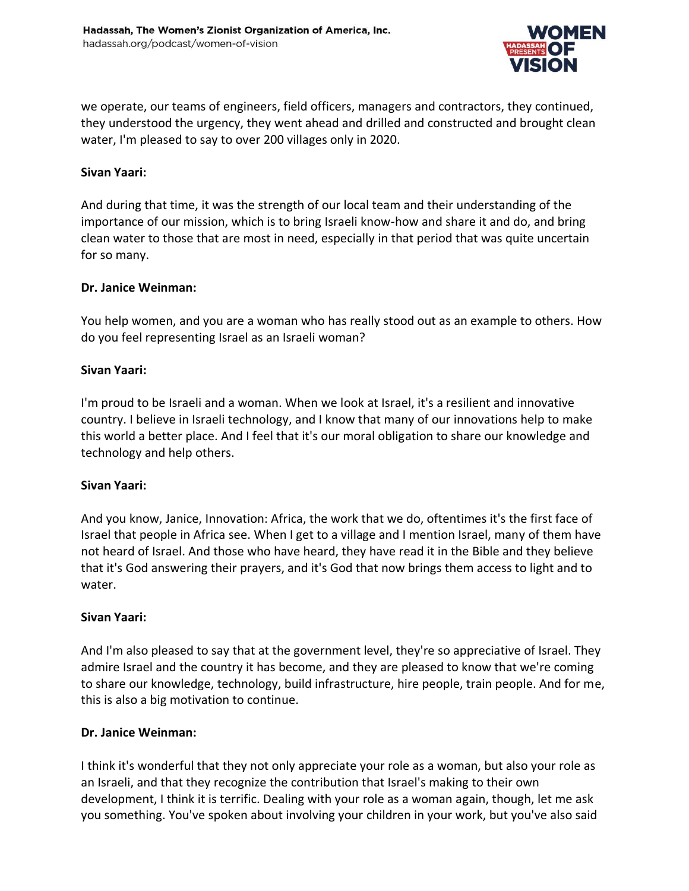

we operate, our teams of engineers, field officers, managers and contractors, they continued, they understood the urgency, they went ahead and drilled and constructed and brought clean water, I'm pleased to say to over 200 villages only in 2020.

#### **Sivan Yaari:**

And during that time, it was the strength of our local team and their understanding of the importance of our mission, which is to bring Israeli know-how and share it and do, and bring clean water to those that are most in need, especially in that period that was quite uncertain for so many.

#### **Dr. Janice Weinman:**

You help women, and you are a woman who has really stood out as an example to others. How do you feel representing Israel as an Israeli woman?

### **Sivan Yaari:**

I'm proud to be Israeli and a woman. When we look at Israel, it's a resilient and innovative country. I believe in Israeli technology, and I know that many of our innovations help to make this world a better place. And I feel that it's our moral obligation to share our knowledge and technology and help others.

#### **Sivan Yaari:**

And you know, Janice, Innovation: Africa, the work that we do, oftentimes it's the first face of Israel that people in Africa see. When I get to a village and I mention Israel, many of them have not heard of Israel. And those who have heard, they have read it in the Bible and they believe that it's God answering their prayers, and it's God that now brings them access to light and to water.

#### **Sivan Yaari:**

And I'm also pleased to say that at the government level, they're so appreciative of Israel. They admire Israel and the country it has become, and they are pleased to know that we're coming to share our knowledge, technology, build infrastructure, hire people, train people. And for me, this is also a big motivation to continue.

#### **Dr. Janice Weinman:**

I think it's wonderful that they not only appreciate your role as a woman, but also your role as an Israeli, and that they recognize the contribution that Israel's making to their own development, I think it is terrific. Dealing with your role as a woman again, though, let me ask you something. You've spoken about involving your children in your work, but you've also said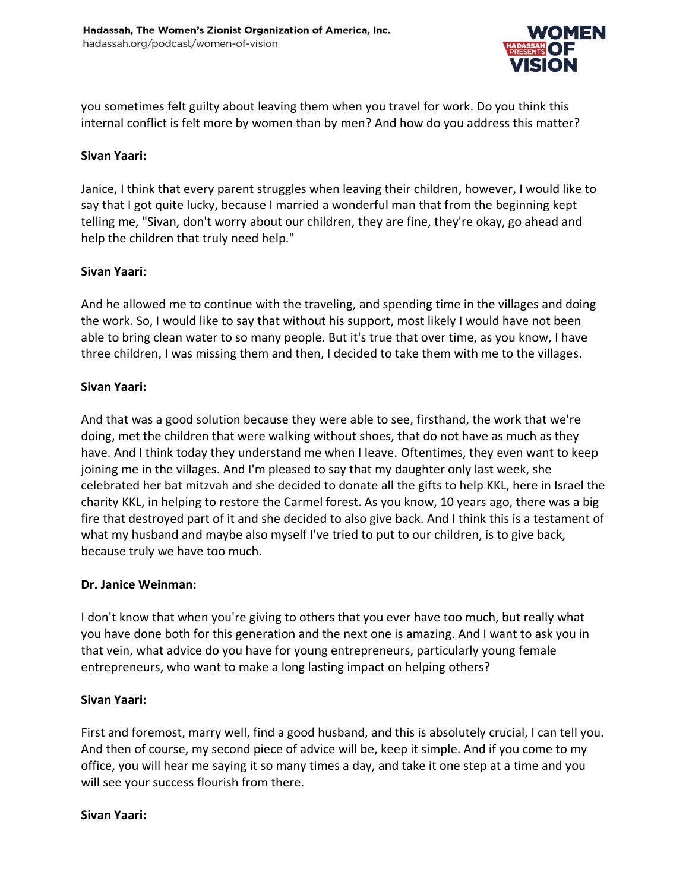

you sometimes felt guilty about leaving them when you travel for work. Do you think this internal conflict is felt more by women than by men? And how do you address this matter?

### **Sivan Yaari:**

Janice, I think that every parent struggles when leaving their children, however, I would like to say that I got quite lucky, because I married a wonderful man that from the beginning kept telling me, "Sivan, don't worry about our children, they are fine, they're okay, go ahead and help the children that truly need help."

### **Sivan Yaari:**

And he allowed me to continue with the traveling, and spending time in the villages and doing the work. So, I would like to say that without his support, most likely I would have not been able to bring clean water to so many people. But it's true that over time, as you know, I have three children, I was missing them and then, I decided to take them with me to the villages.

### **Sivan Yaari:**

And that was a good solution because they were able to see, firsthand, the work that we're doing, met the children that were walking without shoes, that do not have as much as they have. And I think today they understand me when I leave. Oftentimes, they even want to keep joining me in the villages. And I'm pleased to say that my daughter only last week, she celebrated her bat mitzvah and she decided to donate all the gifts to help KKL, here in Israel the charity KKL, in helping to restore the Carmel forest. As you know, 10 years ago, there was a big fire that destroyed part of it and she decided to also give back. And I think this is a testament of what my husband and maybe also myself I've tried to put to our children, is to give back, because truly we have too much.

### **Dr. Janice Weinman:**

I don't know that when you're giving to others that you ever have too much, but really what you have done both for this generation and the next one is amazing. And I want to ask you in that vein, what advice do you have for young entrepreneurs, particularly young female entrepreneurs, who want to make a long lasting impact on helping others?

# **Sivan Yaari:**

First and foremost, marry well, find a good husband, and this is absolutely crucial, I can tell you. And then of course, my second piece of advice will be, keep it simple. And if you come to my office, you will hear me saying it so many times a day, and take it one step at a time and you will see your success flourish from there.

# **Sivan Yaari:**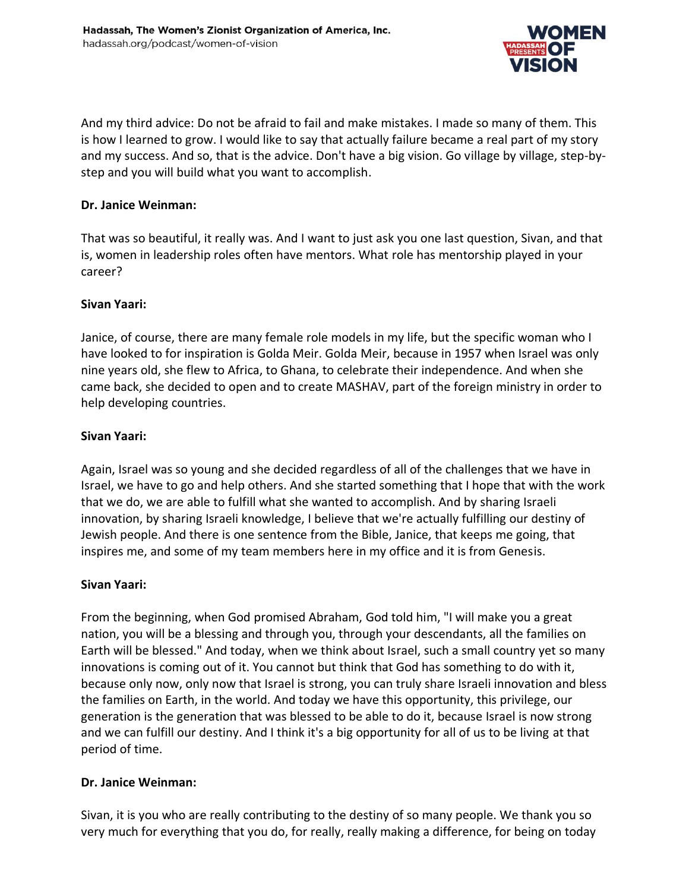

And my third advice: Do not be afraid to fail and make mistakes. I made so many of them. This is how I learned to grow. I would like to say that actually failure became a real part of my story and my success. And so, that is the advice. Don't have a big vision. Go village by village, step-bystep and you will build what you want to accomplish.

### **Dr. Janice Weinman:**

That was so beautiful, it really was. And I want to just ask you one last question, Sivan, and that is, women in leadership roles often have mentors. What role has mentorship played in your career?

# **Sivan Yaari:**

Janice, of course, there are many female role models in my life, but the specific woman who I have looked to for inspiration is Golda Meir. Golda Meir, because in 1957 when Israel was only nine years old, she flew to Africa, to Ghana, to celebrate their independence. And when she came back, she decided to open and to create MASHAV, part of the foreign ministry in order to help developing countries.

# **Sivan Yaari:**

Again, Israel was so young and she decided regardless of all of the challenges that we have in Israel, we have to go and help others. And she started something that I hope that with the work that we do, we are able to fulfill what she wanted to accomplish. And by sharing Israeli innovation, by sharing Israeli knowledge, I believe that we're actually fulfilling our destiny of Jewish people. And there is one sentence from the Bible, Janice, that keeps me going, that inspires me, and some of my team members here in my office and it is from Genesis.

# **Sivan Yaari:**

From the beginning, when God promised Abraham, God told him, "I will make you a great nation, you will be a blessing and through you, through your descendants, all the families on Earth will be blessed." And today, when we think about Israel, such a small country yet so many innovations is coming out of it. You cannot but think that God has something to do with it, because only now, only now that Israel is strong, you can truly share Israeli innovation and bless the families on Earth, in the world. And today we have this opportunity, this privilege, our generation is the generation that was blessed to be able to do it, because Israel is now strong and we can fulfill our destiny. And I think it's a big opportunity for all of us to be living at that period of time.

# **Dr. Janice Weinman:**

Sivan, it is you who are really contributing to the destiny of so many people. We thank you so very much for everything that you do, for really, really making a difference, for being on today